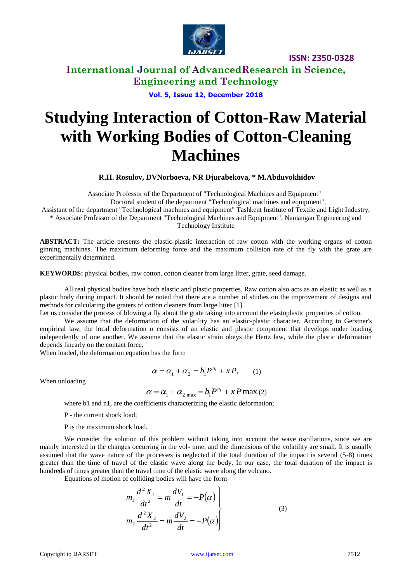

**International Journal of AdvancedResearch in Science, Engineering and Technology**

**Vol. 5, Issue 12, December 2018**

# **Studying Interaction of Cotton-Raw Material with Working Bodies of Cotton-Cleaning Machines**

**R.H. Rosulov, DVNorboeva, NR Djurabekova, \* M.Abduvokhidov**

Associate Professor of the Department of "Technological Machines and Equipment"

Doctoral student of the department "Technological machines and equipment",

Assistant of the department "Technological machines and equipment" Tashkent Institute of Textile and Light Industry,

\* Associate Professor of the Department "Technological Machines and Equipment", Namangan Engineering and Technology Institute

**ABSTRACT:** The article presents the elastic-plastic interaction of raw cotton with the working organs of cotton ginning machines. The maximum deforming force and the maximum collision rate of the fly with the grate are experimentally determined.

**KEYWORDS:** physical bodies, raw cotton, cotton cleaner from large litter, grate, seed damage.

All real physical bodies have both elastic and plastic properties. Raw cotton also acts as an elastic as well as a plastic body during impact. It should be noted that there are a number of studies on the improvement of designs and methods for calculating the graters of cotton cleaners from large litter [1].

Let us consider the process of blowing a fly about the grate taking into account the elastoplastic properties of cotton.

We assume that the deformation of the volatility has an elastic-plastic character. According to Gerstner's empirical law, the local deformation  $\alpha$  consists of an elastic and plastic component that develops under loading independently of one another. We assume that the elastic strain obeys the Hertz law, while the plastic deformation depends linearly on the contact force.

When loaded, the deformation equation has the form

$$
\alpha = \alpha_1 + \alpha_2 = b_1 P^{n_1} + x P, \qquad (1)
$$

When unloading

$$
\alpha = \alpha_1 + \alpha_2 = b_1 P^{n_1} + x P \max(2)
$$

where b1 and n1, are the coefficients characterizing the elastic deformation;

P - the current shock load;

P is the maximum shock load.

We consider the solution of this problem without taking into account the wave oscillations, since we are mainly interested in the changes occurring in the vol- ume, and the dimensions of the volatility are small. It is usually assumed that the wave nature of the processes is neglected if the total duration of the impact is several (5-8) times greater than the time of travel of the elastic wave along the body. In our case, the total duration of the impact is hundreds of times greater than the travel time of the elastic wave along the volcano.

Equations of motion of colliding bodies will have the form

$$
m_1 \frac{d^2 X_1}{dt^2} = m \frac{dV_1}{dt} = -P(\alpha)
$$
  
\n
$$
m_2 \frac{d^2 X_2}{dt^2} = m \frac{dV_2}{dt} = -P(\alpha)
$$
 (3)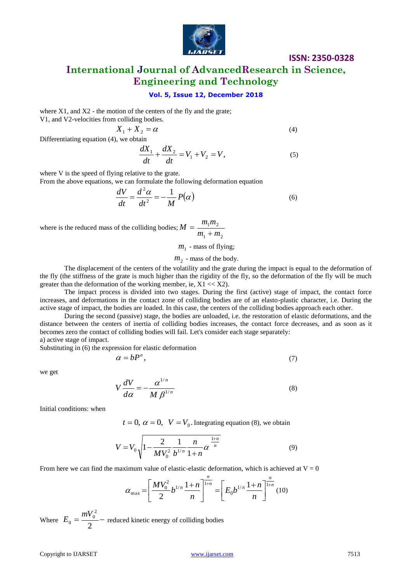

**International Journal of AdvancedResearch in Science, Engineering and Technology**

### **Vol. 5, Issue 12, December 2018**

where  $X1$ , and  $X2$  - the motion of the centers of the fly and the grate;  $V1$ , and  $V2$ -v

$$
X_1 + X_2 = \alpha \tag{4}
$$

Differentiating equation (4), we obtain

$$
\frac{dX_1}{dt} + \frac{dX_2}{dt} = V_1 + V_2 = V,\t\t(5)
$$

where V is the speed of flying relative to the grate. From the above equations, we can formulate the following deformation equation

$$
\frac{dV}{dt} = \frac{d^2\alpha}{dt^2} = -\frac{1}{M}P(\alpha)
$$
\n(6)

where is the reduced mass of the colliding bodies;  $1 \cdot m_2$  $1^{\prime \prime \prime} 2$  $m_1 + m$  $M = \frac{m_1 m}{m_2}$  $\overline{+}$  $=$ 

 $m<sub>1</sub>$  - mass of flying;

### $m<sub>2</sub>$  - mass of the body.

The displacement of the centers of the volatility and the grate during the impact is equal to the deformation of the fly (the stiffness of the grate is much higher than the rigidity of the fly, so the deformation of the fly will be much greater than the deformation of the working member, ie,  $X1 \ll X2$ ).

The impact process is divided into two stages. During the first (active) stage of impact, the contact force increases, and deformations in the contact zone of colliding bodies are of an elasto-plastic character, i.e. During the active stage of impact, the bodies are loaded. In this case, the centers of the colliding bodies approach each other.

During the second (passive) stage, the bodies are unloaded, i.e. the restoration of elastic deformations, and the distance between the centers of inertia of colliding bodies increases, the contact force decreases, and as soon as it becomes zero the contact of colliding bodies will fail. Let's consider each stage separately: a) active stage of impact.

Substituting in (6) the expression for elastic deformation

$$
\alpha = bP^n,\tag{7}
$$

we get

$$
V\frac{dV}{d\alpha} = -\frac{\alpha^{1/n}}{M\beta^{1/n}}
$$
\n(8)

Initial conditions: when

 $t = 0$ ,  $\alpha = 0$ ,  $V = V_0$ . Integrating equation (8), we obtain

$$
V = V_0 \sqrt{1 - \frac{2}{MV_0^2} \frac{1}{b^{1/n}} \frac{n}{1+n} \alpha^{\frac{1+n}{n}}}
$$
(9)

From here we can find the maximum value of elastic-elastic deformation, which is achieved at  $V = 0$ 

$$
\alpha_{\max} = \left[\frac{MV_0^2}{2}b^{1/n}\frac{1+n}{n}\right]^{\frac{n}{1+n}} = \left[E_0b^{1/n}\frac{1+n}{n}\right]^{\frac{n}{1+n}}(10)
$$

Where  $E_0 = \frac{mv_0}{r}$ 2 2  $v_0 = \frac{mv_0}{2}$  $E_0 = \frac{mV_0^2}{\sigma^2}$  reduced kinetic energy of colliding bodies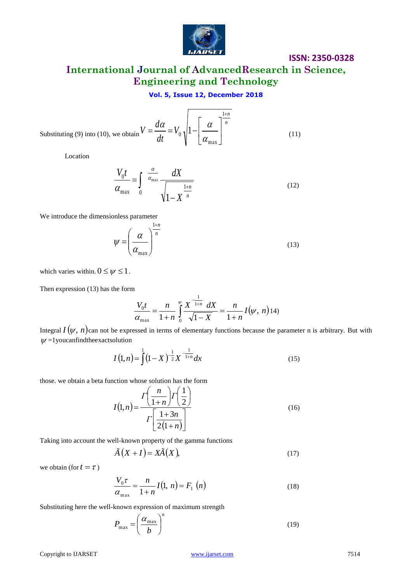

# **International Journal of AdvancedResearch in Science, Engineering and Technology**

### **Vol. 5, Issue 12, December 2018**

Substituting (9) into (10), we obtain 
$$
V = \frac{d\alpha}{dt} = V_0 \sqrt{1 - \left[\frac{\alpha}{\alpha_{\text{max}}}\right]^{\frac{1+n}{n}}}
$$
 (11)

Location

$$
\frac{V_0 t}{\alpha_{\text{max}}} = \int_0^{\frac{\alpha}{\alpha_{\text{max}}}} \frac{dX}{\sqrt{1 - X^{\frac{1+n}{n}}}}
$$
(12)

We introduce the dimensionless parameter

$$
\psi = \left(\frac{\alpha}{\alpha_{\text{max}}}\right)^{\frac{1+n}{n}}
$$
\n(13)

which varies within.  $0 \leq \psi \leq 1$ .

Then expression (13) has the form

$$
\frac{V_0 t}{\alpha_{\max}} = \frac{n}{1+n} \int_0^{\psi} \frac{X^{\frac{1}{1+n}}}{\sqrt{1-X}} dX = \frac{n}{1+n} I(\psi, n)
$$
14)

Integral  $I(\psi, n)$ can not be expressed in terms of elementary functions because the parameter n is arbitrary. But with  $\psi$  =1 you can find the exact solution

$$
I(1,n) = \int_{0}^{1} (1-X)^{-\frac{1}{2}} X^{-\frac{1}{1+n}} dx
$$
 (15)

those. we obtain a beta function whose solution has the form

$$
I(1,n) = \frac{\Gamma\left(\frac{n}{1+n}\right)\Gamma\left(\frac{1}{2}\right)}{\Gamma\left[\frac{1+3n}{2(1+n)}\right]}
$$
(16)

Taking into account the well-known property of the gamma functions

$$
\tilde{A}(X+I) = X\tilde{A}(X),\tag{17}
$$

we obtain (for  $t = \tau$ )

$$
\frac{V_0 \tau}{\alpha_{\text{max}}} = \frac{n}{1+n} I(1, n) = F_1(n)
$$
\n(18)

Substituting here the well-known expression of maximum strength

$$
P_{\text{max}} = \left(\frac{\alpha_{\text{max}}}{b}\right)^n \tag{19}
$$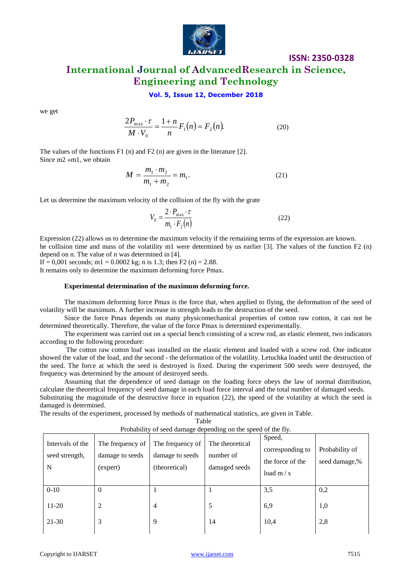

## **ISSN: 2350-0328 International Journal of AdvancedResearch in Science, Engineering and Technology**

### **Vol. 5, Issue 12, December 2018**

we get

$$
\frac{2P_{\text{max}} \cdot \tau}{M \cdot V_0} = \frac{1+n}{n} F_1(n) = F_2(n). \tag{20}
$$

The values of the functions F1 (n) and F2 (n) are given in the literature [2]. Since m2 »m1, we obtain

$$
M = \frac{m_1 \cdot m_2}{m_1 + m_2} = m_1.
$$
 (21)

Let us determine the maximum velocity of the collision of the fly with the grate

$$
V_0 = \frac{2 \cdot P_{\text{max}} \cdot \tau}{m_1 \cdot F_2(n)}\tag{22}
$$

Expression (22) allows us to determine the maximum velocity if the remaining terms of the expression are known. he collision time and mass of the volatility m1 were determined by us earlier [3]. The values of the function F2 (n) depend on n. The value of n was determined in [4].

If  $= 0.001$  seconds; m1  $= 0.0002$  kg; n is 1.3; then F2 (n)  $= 2.88$ .

It remains only to determine the maximum deforming force Pmax.

#### **Experimental determination of the maximum deforming force.**

The maximum deforming force Pmax is the force that, when applied to flying, the deformation of the seed of volatility will be maximum. A further increase in strength leads to the destruction of the seed.

Since the force Pmax depends on many physicomechanical properties of cotton raw cotton, it can not be determined theoretically. Therefore, the value of the force Pmax is determined experimentally.

The experiment was carried out on a special bench consisting of a screw rod, an elastic element, two indicators according to the following procedure:

The cotton raw cotton loaf was installed on the elastic element and loaded with a screw rod. One indicator showed the value of the load, and the second - the deformation of the volatility. Letuchka loaded until the destruction of the seed. The force at which the seed is destroyed is fixed. During the experiment 500 seeds were destroyed, the frequency was determined by the amount of destroyed seeds.

Assuming that the dependence of seed damage on the loading force obeys the law of normal distribution, calculate the theoretical frequency of seed damage in each load force interval and the total number of damaged seeds. Substituting the magnitude of the destructive force in equation (22), the speed of the volatility at which the seed is damaged is determined.

The results of the experiment, processed by methods of mathematical statistics, are given in Table.

**Table** 

| Intervals of the<br>seed strength,<br>N | The frequency of<br>damage to seeds<br>(expert) | I TODADHITY OF SCCu uamage depending on the speed of the Hy.<br>The frequency of<br>damage to seeds<br>(theoretical) | The theoretical<br>number of<br>damaged seeds | Speed,<br>corresponding to<br>the force of the<br>load $m/s$ | Probability of<br>seed damage,% |
|-----------------------------------------|-------------------------------------------------|----------------------------------------------------------------------------------------------------------------------|-----------------------------------------------|--------------------------------------------------------------|---------------------------------|
| $0 - 10$                                | $\Omega$                                        |                                                                                                                      |                                               | 3,5                                                          | 0,2                             |
| $11-20$                                 | 2                                               | $\overline{4}$                                                                                                       | 5                                             | 6,9                                                          | 1,0                             |
| $21-30$                                 | 3                                               | 9                                                                                                                    | 14                                            | 10,4                                                         | 2,8                             |

Probability of seed damage depending on the speed of the fly.